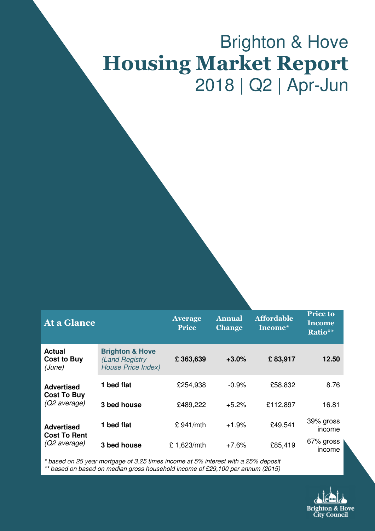# Brighton & Hove Housing Market Report 2018 | Q2 | Apr-Jun

| At a Glance                                              |                                                                           | <b>Average</b><br><b>Price</b> | <b>Annual</b><br><b>Change</b> | <b>Affordable</b><br>Income* | <b>Price to</b><br><b>Income</b><br>Ratio** |
|----------------------------------------------------------|---------------------------------------------------------------------------|--------------------------------|--------------------------------|------------------------------|---------------------------------------------|
| <b>Actual</b><br><b>Cost to Buy</b><br>(June)            | <b>Brighton &amp; Hove</b><br>(Land Registry<br><b>House Price Index)</b> | £363,639                       | $+3.0%$                        | £83,917                      | 12.50                                       |
| <b>Advertised</b><br><b>Cost To Buy</b><br>(Q2 average)  | 1 bed flat                                                                | £254,938                       | $-0.9%$                        | £58,832                      | 8.76                                        |
|                                                          | 3 bed house                                                               | £489,222                       | $+5.2%$                        | £112,897                     | 16.81                                       |
| <b>Advertised</b><br><b>Cost To Rent</b><br>(Q2 average) | 1 bed flat                                                                | £ 941/mL                       | $+1.9%$                        | £49,541                      | 39% gross<br>income                         |
|                                                          | 3 bed house                                                               | £1,623/mth                     | $+7.6%$                        | £85,419                      | 67% gross<br>income                         |

\* based on 25 year mortgage of 3.25 times income at 5% interest with a 25% deposit \*\* based on based on median gross household income of £29,100 per annum (2015)

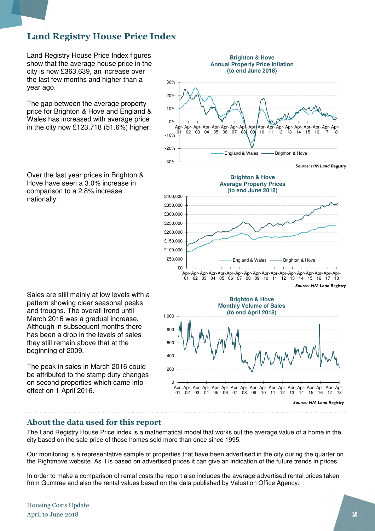# Land Registry House Price Index

Land Registry House Price Index figures show that the average house price in the city is now £363,639, an increase over the last few months and higher than a year ago.

The gap between the average property price for Brighton & Hove and England & Wales has increased with average price in the city now £123,718 (51.6%) higher.

Over the last year prices in Brighton & Hove have seen a 3.0% increase in comparison to a 2.8% increase nationally.

Sales are still mainly at low levels with a pattern showing clear seasonal peaks and troughs. The overall trend until March 2016 was a gradual increase. Although in subsequent months there has been a drop in the levels of sales they still remain above that at the beginning of 2009.

The peak in sales in March 2016 could be attributed to the stamp duty changes on second properties which came into effect on 1 April 2016.





#### About the data used for this report

The Land Registry House Price Index is a mathematical model that works out the average value of a home in the city based on the sale price of those homes sold more than once since 1995.

Our monitoring is a representative sample of properties that have been advertised in the city during the quarter on the Rightmove website. As it is based on advertised prices it can give an indication of the future trends in prices.

In order to make a comparison of rental costs the report also includes the average advertised rental prices taken from Gumtree and also the rental values based on the data published by Valuation Office Agency.

Housing Costs Update April to June 2018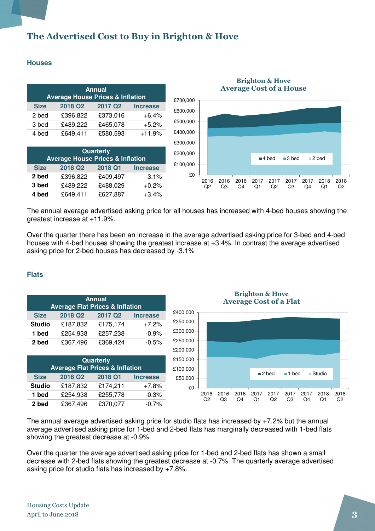# The Advertised Cost to Buy in Brighton & Hove

#### **Houses**

| <b>Annual</b><br><b>Average House Prices &amp; Inflation</b> |          |                     |                 |  |  |
|--------------------------------------------------------------|----------|---------------------|-----------------|--|--|
| <b>Size</b>                                                  | 2018 Q2  | 2017 Q <sub>2</sub> | <b>Increase</b> |  |  |
| 2 bed                                                        | £396,822 | £373,016            | $+6.4%$         |  |  |
| 3 bed                                                        | £489,222 | £465,078            | $+5.2%$         |  |  |
| 4 bed                                                        | £649,411 | £580,593            | $+11.9%$        |  |  |

| Quarterly<br><b>Average House Prices &amp; Inflation</b> |                     |          |                 |  |  |
|----------------------------------------------------------|---------------------|----------|-----------------|--|--|
| <b>Size</b>                                              | 2018 Q <sub>2</sub> | 2018 Q1  | <b>Increase</b> |  |  |
| 2 bed                                                    | £396,822            | £409,497 | $-3.1\%$        |  |  |
| 3 bed                                                    | £489,222            | £488,029 | $+0.2%$         |  |  |
| 4 bed                                                    | £649,411            | £627,887 | $+3.4%$         |  |  |



#### Brighton & Hove Average Cost of a House

The annual average advertised asking price for all houses has increased with 4-bed houses showing the greatest increase at +11.9%.

Over the quarter there has been an increase in the average advertised asking price for 3-bed and 4-bed houses with 4-bed houses showing the greatest increase at +3.4%. In contrast the average advertised asking price for 2-bed houses has decreased by -3.1%

#### **Flats**



The annual average advertised asking price for studio flats has increased by +7.2% but the annual average advertised asking price for 1-bed and 2-bed flats has marginally decreased with 1-bed flats showing the greatest decrease at -0.9%.

Over the quarter the average advertised asking price for 1-bed and 2-bed flats has shown a small decrease with 2-bed flats showing the greatest decrease at -0.7%. The quarterly average advertised asking price for studio flats has increased by +7.8%.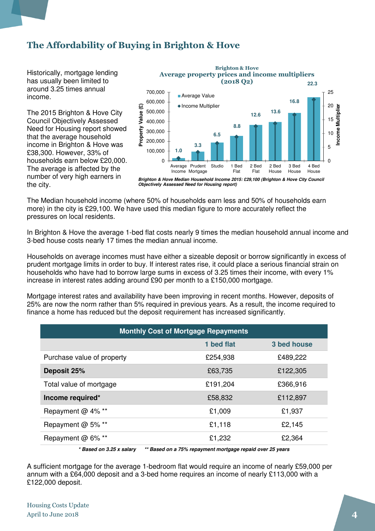# The Affordability of Buying in Brighton & Hove

Historically, mortgage lending has usually been limited to around 3.25 times annual income.

The 2015 Brighton & Hove City Council Objectively Assessed Need for Housing report showed that the average household income in Brighton & Hove was £38,300. However, 33% of households earn below £20,000. The average is affected by the number of very high earners in the city.



**Objectively Assessed Need for Housing report)**

The Median household income (where 50% of households earn less and 50% of households earn more) in the city is £29,100. We have used this median figure to more accurately reflect the pressures on local residents.

In Brighton & Hove the average 1-bed flat costs nearly 9 times the median household annual income and 3-bed house costs nearly 17 times the median annual income.

Households on average incomes must have either a sizeable deposit or borrow significantly in excess of prudent mortgage limits in order to buy. If interest rates rise, it could place a serious financial strain on households who have had to borrow large sums in excess of 3.25 times their income, with every 1% increase in interest rates adding around £90 per month to a £150,000 mortgage.

Mortgage interest rates and availability have been improving in recent months. However, deposits of 25% are now the norm rather than 5% required in previous years. As a result, the income required to finance a home has reduced but the deposit requirement has increased significantly.

| <b>Monthly Cost of Mortgage Repayments</b> |            |             |  |  |  |
|--------------------------------------------|------------|-------------|--|--|--|
|                                            | 1 bed flat | 3 bed house |  |  |  |
| Purchase value of property                 | £254,938   | £489,222    |  |  |  |
| Deposit 25%                                | £63,735    | £122,305    |  |  |  |
| Total value of mortgage                    | £191,204   | £366,916    |  |  |  |
| Income required*                           | £58,832    | £112,897    |  |  |  |
| Repayment @ 4% **                          | £1,009     | £1,937      |  |  |  |
| Repayment @ 5% **                          | £1,118     | £2,145      |  |  |  |
| Repayment @ 6% **                          | £1,232     | £2,364      |  |  |  |

**\* Based on 3.25 x salary \*\* Based on a 75% repayment mortgage repaid over 25 years** 

A sufficient mortgage for the average 1-bedroom flat would require an income of nearly £59,000 per annum with a £64,000 deposit and a 3-bed home requires an income of nearly £113,000 with a £122,000 deposit.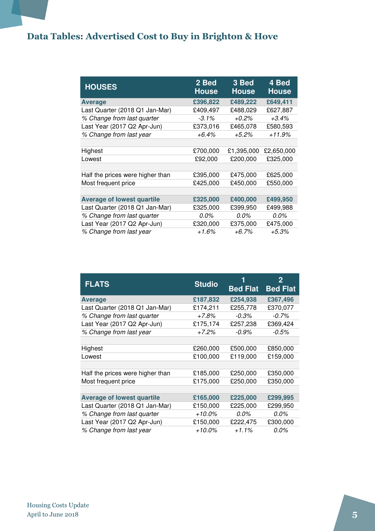# Data Tables: Advertised Cost to Buy in Brighton & Hove

| <b>HOUSES</b>                     | 2 Bed<br><b>House</b> | 3 Bed<br><b>House</b> | 4 Bed<br><b>House</b> |
|-----------------------------------|-----------------------|-----------------------|-----------------------|
| <b>Average</b>                    | £396,822              | £489,222              | £649,411              |
| Last Quarter (2018 Q1 Jan-Mar)    | £409,497              | £488,029              | £627,887              |
| % Change from last quarter        | $-3.1\%$              | $+0.2\%$              | $+3.4\%$              |
| Last Year (2017 Q2 Apr-Jun)       | £373,016              | £465,078              | £580,593              |
| % Change from last year           | $+6.4\%$              | $+5.2\%$              | +11.9%                |
|                                   |                       |                       |                       |
| Highest                           | £700,000              | £1,395,000            | £2,650,000            |
| Lowest                            | £92,000               | £200,000              | £325,000              |
|                                   |                       |                       |                       |
| Half the prices were higher than  | £395,000              | £475,000              | £625,000              |
| Most frequent price               | £425,000              | £450,000              | £550,000              |
|                                   |                       |                       |                       |
| <b>Average of lowest quartile</b> | £325,000              | £400,000              | £499,950              |
| Last Quarter (2018 Q1 Jan-Mar)    | £325,000              | £399,950              | £499,988              |
| % Change from last quarter        | 0.0%                  | 0.0%                  | $0.0\%$               |
| Last Year (2017 Q2 Apr-Jun)       | £320,000              | £375,000              | £475,000              |
| % Change from last year           | $+1.6%$               | $+6.7\%$              | $+5.3%$               |

| <b>FLATS</b>                      | <b>Studio</b> | <b>Bed Flat</b> | $\mathbf{2}$<br><b>Bed Flat</b> |
|-----------------------------------|---------------|-----------------|---------------------------------|
| <b>Average</b>                    | £187,832      | £254,938        | £367,496                        |
| Last Quarter (2018 Q1 Jan-Mar)    | £174,211      | £255,778        | £370,077                        |
| % Change from last quarter        | +7.8%         | $-0.3%$         | $-0.7\%$                        |
| Last Year (2017 Q2 Apr-Jun)       | £175,174      | £257,238        | £369,424                        |
| % Change from last year           | $+7.2%$       | $-0.9\%$        | $-0.5%$                         |
|                                   |               |                 |                                 |
| Highest                           | £260,000      | £500,000        | £850,000                        |
| Lowest                            | £100,000      | £119,000        | £159,000                        |
|                                   |               |                 |                                 |
| Half the prices were higher than  | £185,000      | £250,000        | £350,000                        |
| Most frequent price               | £175,000      | £250,000        | £350,000                        |
|                                   |               |                 |                                 |
| <b>Average of lowest quartile</b> | £165,000      | £225,000        | £299,995                        |
| Last Quarter (2018 Q1 Jan-Mar)    | £150,000      | £225,000        | £299,950                        |
| % Change from last quarter        | $+10.0\%$     | $0.0\%$         | $0.0\%$                         |
| Last Year (2017 Q2 Apr-Jun)       | £150,000      | £222,475        | £300,000                        |
| % Change from last year           | $+10.0\%$     | $+1.1%$         | $0.0\%$                         |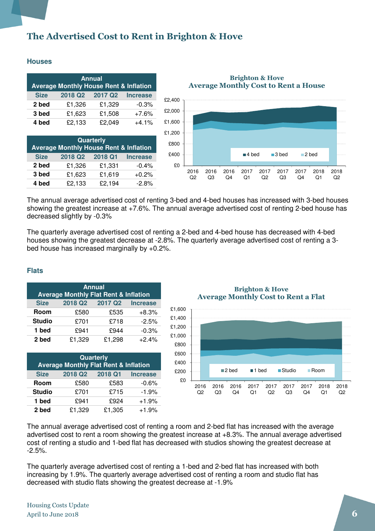# The Advertised Cost to Rent in Brighton & Hove

#### **Houses**

| <b>Annual</b><br><b>Average Monthly House Rent &amp; Inflation</b> |         |                     |                 |  |  |
|--------------------------------------------------------------------|---------|---------------------|-----------------|--|--|
| <b>Size</b>                                                        | 2018 Q2 | 2017 Q <sub>2</sub> | <b>Increase</b> |  |  |
| 2 bed                                                              | £1,326  | £1,329              | $-0.3%$         |  |  |
| 3 bed                                                              | £1,623  | £1,508              | $+7.6%$         |  |  |
| 4 bed                                                              | £2,133  | £2,049              | $+4.1%$         |  |  |

| <b>Quarterly</b><br><b>Average Monthly House Rent &amp; Inflation</b> |         |         |                 |  |  |
|-----------------------------------------------------------------------|---------|---------|-----------------|--|--|
| <b>Size</b>                                                           | 2018 Q2 | 2018 Q1 | <b>Increase</b> |  |  |
| 2 bed                                                                 | £1,326  | £1,331  | $-0.4%$         |  |  |
| 3 bed                                                                 | £1,623  | £1,619  | $+0.2%$         |  |  |
| 4 bed                                                                 | £2,133  | £2,194  | $-2.8%$         |  |  |

Brighton & Hove Average Monthly Cost to Rent a House



The annual average advertised cost of renting 3-bed and 4-bed houses has increased with 3-bed houses showing the greatest increase at +7.6%. The annual average advertised cost of renting 2-bed house has decreased slightly by -0.3%

The quarterly average advertised cost of renting a 2-bed and 4-bed house has decreased with 4-bed houses showing the greatest decrease at -2.8%. The quarterly average advertised cost of renting a 3 bed house has increased marginally by +0.2%.

#### **Flats**

| <b>Annual</b>                                    |                     |                     |                 |  |  |  |
|--------------------------------------------------|---------------------|---------------------|-----------------|--|--|--|
| <b>Average Monthly Flat Rent &amp; Inflation</b> |                     |                     |                 |  |  |  |
| <b>Size</b>                                      | 2018 Q <sub>2</sub> | 2017 Q <sub>2</sub> | <b>Increase</b> |  |  |  |
| Room                                             | £580                | £535                | $+8.3%$         |  |  |  |
| <b>Studio</b>                                    | £701                | £718                | $-2.5%$         |  |  |  |
| 1 bed                                            | £941                | £944                | $-0.3%$         |  |  |  |
| 2 bed                                            | £1,329              | £1,298              | $+2.4%$         |  |  |  |

| Quarterly<br><b>Average Monthly Flat Rent &amp; Inflation</b> |                     |         |                 |  |  |
|---------------------------------------------------------------|---------------------|---------|-----------------|--|--|
| <b>Size</b>                                                   | 2018 Q <sub>2</sub> | 2018 Q1 | <b>Increase</b> |  |  |
| Room                                                          | £580                | £583    | $-0.6%$         |  |  |
| <b>Studio</b>                                                 | £701                | £715    | $-1.9%$         |  |  |
| 1 bed                                                         | £941                | £924    | $+1.9%$         |  |  |
| 2 bed                                                         | £1,329              | £1,305  | $+1.9%$         |  |  |

Brighton & Hove Average Monthly Cost to Rent a Flat



The annual average advertised cost of renting a room and 2-bed flat has increased with the average advertised cost to rent a room showing the greatest increase at +8.3%. The annual average advertised cost of renting a studio and 1-bed flat has decreased with studios showing the greatest decrease at -2.5%.

The quarterly average advertised cost of renting a 1-bed and 2-bed flat has increased with both increasing by 1.9%. The quarterly average advertised cost of renting a room and studio flat has decreased with studio flats showing the greatest decrease at -1.9%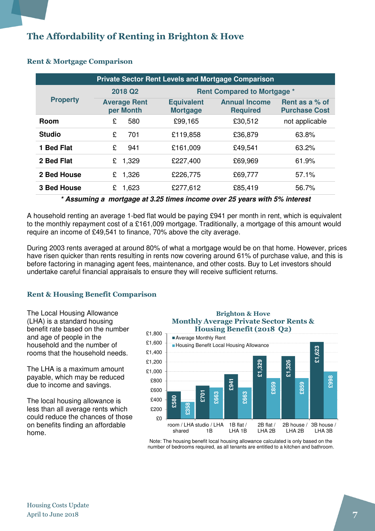# The Affordability of Renting in Brighton & Hove

| <b>Private Sector Rent Levels and Mortgage Comparison</b> |                     |                                  |                                      |                                         |                                        |  |
|-----------------------------------------------------------|---------------------|----------------------------------|--------------------------------------|-----------------------------------------|----------------------------------------|--|
| <b>Property</b>                                           | 2018 Q <sub>2</sub> |                                  | <b>Rent Compared to Mortgage *</b>   |                                         |                                        |  |
|                                                           |                     | <b>Average Rent</b><br>per Month | <b>Equivalent</b><br><b>Mortgage</b> | <b>Annual Income</b><br><b>Required</b> | Rent as a % of<br><b>Purchase Cost</b> |  |
| <b>Room</b>                                               | £                   | 580                              | £99,165                              | £30,512                                 | not applicable                         |  |
| <b>Studio</b>                                             | £                   | 701                              | £119,858                             | £36,879                                 | 63.8%                                  |  |
| 1 Bed Flat                                                | £                   | 941                              | £161,009                             | £49,541                                 | 63.2%                                  |  |
| 2 Bed Flat                                                | £                   | 1,329                            | £227,400                             | £69,969                                 | 61.9%                                  |  |
| 2 Bed House                                               | £                   | 1,326                            | £226,775                             | £69,777                                 | 57.1%                                  |  |
| <b>3 Bed House</b>                                        | £                   | 1,623                            | £277,612                             | £85,419                                 | 56.7%                                  |  |

#### Rent & Mortgage Comparison

**\* Assuming a mortgage at 3.25 times income over 25 years with 5% interest** 

A household renting an average 1-bed flat would be paying £941 per month in rent, which is equivalent to the monthly repayment cost of a £161,009 mortgage. Traditionally, a mortgage of this amount would require an income of £49,541 to finance, 70% above the city average.

During 2003 rents averaged at around 80% of what a mortgage would be on that home. However, prices have risen quicker than rents resulting in rents now covering around 61% of purchase value, and this is before factoring in managing agent fees, maintenance, and other costs. Buy to Let investors should undertake careful financial appraisals to ensure they will receive sufficient returns.

#### Rent & Housing Benefit Comparison

The Local Housing Allowance (LHA) is a standard housing benefit rate based on the number and age of people in the household and the number of rooms that the household needs.

The LHA is a maximum amount payable, which may be reduced due to income and savings.

The local housing allowance is less than all average rents which could reduce the chances of those on benefits finding an affordable home.



Note: The housing benefit local housing allowance calculated is only based on the number of bedrooms required, as all tenants are entitled to a kitchen and bathroom.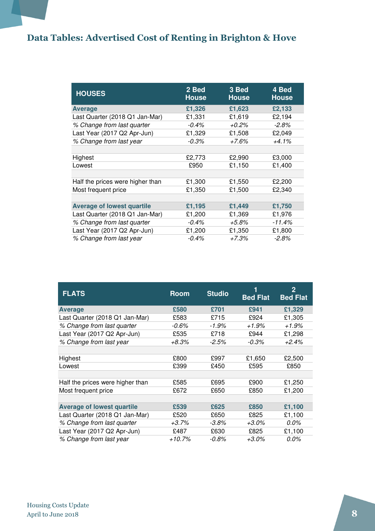# Data Tables: Advertised Cost of Renting in Brighton & Hove

| <b>HOUSES</b>                     | 2 Bed<br><b>House</b> | 3 Bed<br><b>House</b> | 4 Bed<br><b>House</b> |
|-----------------------------------|-----------------------|-----------------------|-----------------------|
| <b>Average</b>                    | £1,326                | £1,623                | £2,133                |
| Last Quarter (2018 Q1 Jan-Mar)    | £1,331                | £1,619                | £2,194                |
| % Change from last quarter        | $-0.4\%$              | +0.2%                 | $-2.8\%$              |
| Last Year (2017 Q2 Apr-Jun)       | £1,329                | £1,508                | £2,049                |
| % Change from last year           | $-0.3%$               | +7.6%                 | $+4.1%$               |
|                                   |                       |                       |                       |
| Highest                           | £2,773                | £2,990                | £3,000                |
| Lowest                            | £950                  | £1,150                | £1,400                |
|                                   |                       |                       |                       |
| Half the prices were higher than  | £1,300                | £1,550                | £2,200                |
| Most frequent price               | £1,350                | £1,500                | £2,340                |
|                                   |                       |                       |                       |
| <b>Average of lowest quartile</b> | £1,195                | £1,449                | £1,750                |
| Last Quarter (2018 Q1 Jan-Mar)    | £1,200                | £1,369                | £1,976                |
| % Change from last quarter        | $-0.4\%$              | +5.8%                 | $-11.4%$              |
| Last Year (2017 Q2 Apr-Jun)       | £1,200                | £1,350                | £1,800                |
| % Change from last year           | $-0.4\%$              | +7.3%                 | $-2.8\%$              |

| <b>FLATS</b>                      | <b>Room</b> | <b>Studio</b> | <b>Bed Flat</b> | $\mathbf 2$<br><b>Bed Flat</b> |
|-----------------------------------|-------------|---------------|-----------------|--------------------------------|
| <b>Average</b>                    | £580        | £701          | £941            | £1,329                         |
| Last Quarter (2018 Q1 Jan-Mar)    | £583        | £715          | £924            | £1,305                         |
| % Change from last quarter        | $-0.6%$     | $-1.9\%$      | $+1.9%$         | $+1.9\%$                       |
| Last Year (2017 Q2 Apr-Jun)       | £535        | £718          | £944            | £1,298                         |
| % Change from last year           | +8.3%       | $-2.5\%$      | $-0.3\%$        | $+2.4\%$                       |
|                                   |             |               |                 |                                |
| Highest                           | £800        | £997          | £1,650          | £2,500                         |
| Lowest                            | £399        | £450          | £595            | £850                           |
|                                   |             |               |                 |                                |
| Half the prices were higher than  | £585        | £695          | £900            | £1,250                         |
| Most frequent price               | £672        | £650          | £850            | £1,200                         |
|                                   |             |               |                 |                                |
| <b>Average of lowest quartile</b> | £539        | £625          | £850            | £1,100                         |
| Last Quarter (2018 Q1 Jan-Mar)    | £520        | £650          | £825            | £1,100                         |
| % Change from last quarter        | +3.7%       | $-3.8\%$      | $+3.0\%$        | 0.0%                           |
| Last Year (2017 Q2 Apr-Jun)       | £487        | £630          | £825            | £1,100                         |
| % Change from last year           | +10.7%      | -0.8%         | +3.0%           | 0.0%                           |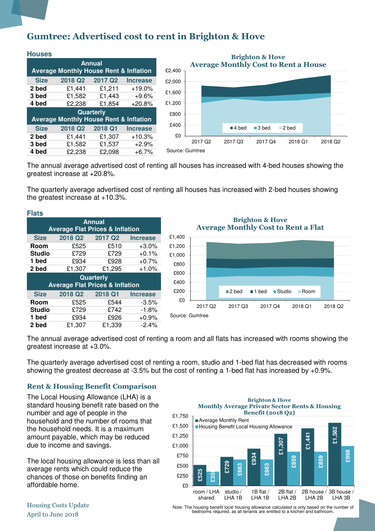## Gumtree: Advertised cost to rent in Brighton & Hove

| <b>Houses</b>                                                      |         |                     |                 |  |  |  |  |
|--------------------------------------------------------------------|---------|---------------------|-----------------|--|--|--|--|
| <b>Annual</b><br><b>Average Monthly House Rent &amp; Inflation</b> |         |                     |                 |  |  |  |  |
|                                                                    |         |                     |                 |  |  |  |  |
| <b>Size</b>                                                        | 2018 Q2 | 2017 Q <sub>2</sub> | <b>Increase</b> |  |  |  |  |
| 2 bed                                                              | £1,441  | £1,211              | $+19.0%$        |  |  |  |  |
| 3 bed                                                              | £1,582  | £1,443              | $+9.6%$         |  |  |  |  |
| 4 bed                                                              | £2,238  | £1,854              | $+20.8%$        |  |  |  |  |
| <b>Quarterly</b>                                                   |         |                     |                 |  |  |  |  |
| <b>Average Monthly House Rent &amp; Inflation</b>                  |         |                     |                 |  |  |  |  |
| <b>Size</b>                                                        | 2018 Q2 | 2018 Q1             | <b>Increase</b> |  |  |  |  |
| 2 bed                                                              | £1,441  | £1,307              | $+10.3%$        |  |  |  |  |
| 3 bed                                                              | £1,582  | £1,537              | $+2.9%$         |  |  |  |  |
| 4 bed                                                              | £2,238  | £2,098              | $+6.7%$         |  |  |  |  |



The annual average advertised cost of renting all houses has increased with 4-bed houses showing the greatest increase at +20.8%.

The quarterly average advertised cost of renting all houses has increased with 2-bed houses showing the greatest increase at +10.3%.

| <b>Flats</b>                                                   |                     |                     |                 |  |  |  |  |
|----------------------------------------------------------------|---------------------|---------------------|-----------------|--|--|--|--|
| Annual                                                         |                     |                     |                 |  |  |  |  |
| <b>Average Flat Prices &amp; Inflation</b>                     |                     |                     |                 |  |  |  |  |
| <b>Size</b>                                                    | 2018 Q <sub>2</sub> | 2017 Q <sub>2</sub> | <b>Increase</b> |  |  |  |  |
| Room                                                           | £525                | £510                | $+3.0\%$        |  |  |  |  |
| <b>Studio</b>                                                  | £729                | £729                | $+0.1%$         |  |  |  |  |
| 1 bed                                                          | £934                | £928                | $+0.7%$         |  |  |  |  |
| 2 bed                                                          | £1,307              | £1,295              | $+1.0%$         |  |  |  |  |
| <b>Quarterly</b><br><b>Average Flat Prices &amp; Inflation</b> |                     |                     |                 |  |  |  |  |
| <b>Size</b>                                                    | 2018 Q <sub>2</sub> | 2018 Q1             | <b>Increase</b> |  |  |  |  |
| Room                                                           | £525                | £544                | $-3.5%$         |  |  |  |  |
| <b>Studio</b>                                                  | £729                | £742                | $-1.8%$         |  |  |  |  |
| 1 bed                                                          | £934                | £926                | $+0.9%$         |  |  |  |  |
| 2 bed                                                          | £1,307              | £1,339              | $-2.4%$         |  |  |  |  |

Brighton & Hove Average Monthly Cost to Rent a Flat



The annual average advertised cost of renting a room and all flats has increased with rooms showing the greatest increase at +3.0%.

The quarterly average advertised cost of renting a room, studio and 1-bed flat has decreased with rooms showing the greatest decrease at -3.5% but the cost of renting a 1-bed flat has increased by +0.9%.

#### Rent & Housing Benefit Comparison

The Local Housing Allowance (LHA) is a standard housing benefit rate based on the number and age of people in the household and the number of rooms that the household needs. It is a maximum amount payable, which may be reduced due to income and savings.

The local housing allowance is less than all average rents which could reduce the chances of those on benefits finding an affordable home.



Housing Costs Update

April to June 2018<br>April to June 2018 9. International control of the housing benefit local housing allowance calculated is only<br>Capacity bedrooms required, as all tenants are entitled to a kitchen and bathroom.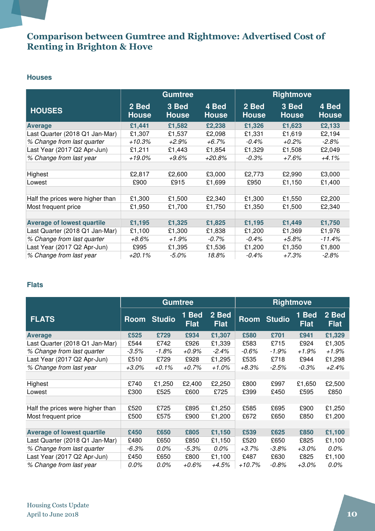### Comparison between Gumtree and Rightmove: Advertised Cost of Renting in Brighton & Hove

#### **Houses**

|                                   |                       | <b>Gumtree</b>        |                       | <b>Rightmove</b>      |                       |                       |
|-----------------------------------|-----------------------|-----------------------|-----------------------|-----------------------|-----------------------|-----------------------|
| <b>HOUSES</b>                     | 2 Bed<br><b>House</b> | 3 Bed<br><b>House</b> | 4 Bed<br><b>House</b> | 2 Bed<br><b>House</b> | 3 Bed<br><b>House</b> | 4 Bed<br><b>House</b> |
| <b>Average</b>                    | £1,441                | £1,582                | £2,238                | £1,326                | £1,623                | £2,133                |
| Last Quarter (2018 Q1 Jan-Mar)    | £1,307                | £1,537                | £2,098                | £1,331                | £1,619                | £2,194                |
| % Change from last quarter        | +10.3%                | +2.9%                 | $+6.7%$               | $-0.4\%$              | +0.2%                 | $-2.8\%$              |
| Last Year (2017 Q2 Apr-Jun)       | £1,211                | £1,443                | £1,854                | £1,329                | £1,508                | £2,049                |
| % Change from last year           | +19.0%                | $+9.6\%$              | +20.8%                | $-0.3\%$              | +7.6%                 | +4.1%                 |
|                                   |                       |                       |                       |                       |                       |                       |
| Highest                           | £2,817                | £2,600                | £3,000                | £2,773                | £2,990                | £3,000                |
| Lowest                            | £900                  | £915                  | £1,699                | £950                  | £1,150                | £1,400                |
|                                   |                       |                       |                       |                       |                       |                       |
| Half the prices were higher than  | £1,300                | £1,500                | £2,340                | £1,300                | £1,550                | £2,200                |
| Most frequent price               | £1,950                | £1,700                | £1,750                | £1,350                | £1,500                | £2,340                |
|                                   |                       |                       |                       |                       |                       |                       |
| <b>Average of lowest quartile</b> | £1,195                | £1,325                | £1,825                | £1,195                | £1,449                | £1,750                |
| Last Quarter (2018 Q1 Jan-Mar)    | £1,100                | £1,300                | £1,838                | £1,200                | £1,369                | £1,976                |
| % Change from last quarter        | +8.6%                 | +1.9%                 | $-0.7\%$              | $-0.4\%$              | +5.8%                 | $-11.4\%$             |
| Last Year (2017 Q2 Apr-Jun)       | £995                  | £1,395                | £1,536                | £1,200                | £1,350                | £1,800                |
| % Change from last year           | $+20.1%$              | $-5.0%$               | 18.8%                 | $-0.4%$               | $+7.3%$               | $-2.8%$               |

#### **Flats**

|                                   |             | <b>Gumtree</b> |                      |                      | <b>Rightmove</b> |               |                      |                      |
|-----------------------------------|-------------|----------------|----------------------|----------------------|------------------|---------------|----------------------|----------------------|
| <b>FLATS</b>                      | <b>Room</b> | <b>Studio</b>  | 1 Bed<br><b>Flat</b> | 2 Bed<br><b>Flat</b> | <b>Room</b>      | <b>Studio</b> | 1 Bed<br><b>Flat</b> | 2 Bed<br><b>Flat</b> |
| <b>Average</b>                    | £525        | £729           | £934                 | £1,307               | £580             | £701          | £941                 | £1,329               |
| Last Quarter (2018 Q1 Jan-Mar)    | £544        | £742           | £926                 | £1,339               | £583             | £715          | £924                 | £1,305               |
| % Change from last quarter        | $-3.5\%$    | $-1.8%$        | +0.9%                | $-2.4\%$             | $-0.6\%$         | -1.9%         | $+1.9%$              | $+1.9%$              |
| Last Year (2017 Q2 Apr-Jun)       | £510        | £729           | £928                 | £1,295               | £535             | £718          | £944                 | £1,298               |
| % Change from last year           | +3.0%       | $+0.1\%$       | $+0.7\%$             | $+1.0\%$             | +8.3%            | $-2.5\%$      | $-0.3\%$             | $+2.4%$              |
|                                   |             |                |                      |                      |                  |               |                      |                      |
| Highest                           | £740        | £1,250         | £2,400               | £2,250               | £800             | £997          | £1,650               | £2,500               |
| Lowest                            | £300        | £525           | £600                 | £725                 | £399             | £450          | £595                 | £850                 |
|                                   |             |                |                      |                      |                  |               |                      |                      |
| Half the prices were higher than  | £520        | £725           | £895                 | £1,250               | £585             | £695          | £900                 | £1,250               |
| Most frequent price               | £500        | £575           | £900                 | £1,200               | £672             | £650          | £850                 | £1,200               |
|                                   |             |                |                      |                      |                  |               |                      |                      |
| <b>Average of lowest quartile</b> | £450        | £650           | £805                 | £1,150               | £539             | £625          | £850                 | £1,100               |
| Last Quarter (2018 Q1 Jan-Mar)    | £480        | £650           | £850                 | £1,150               | £520             | £650          | £825                 | £1,100               |
| % Change from last quarter        | -6.3%       | $0.0\%$        | $-5.3\%$             | 0.0%                 | $+3.7%$          | $-3.8\%$      | $+3.0\%$             | $0.0\%$              |
| Last Year (2017 Q2 Apr-Jun)       | £450        | £650           | £800                 | £1,100               | £487             | £630          | £825                 | £1,100               |
| % Change from last year           | 0.0%        | 0.0%           | +0.6%                | +4.5%                | $+10.7%$         | $-0.8\%$      | $+3.0\%$             | 0.0%                 |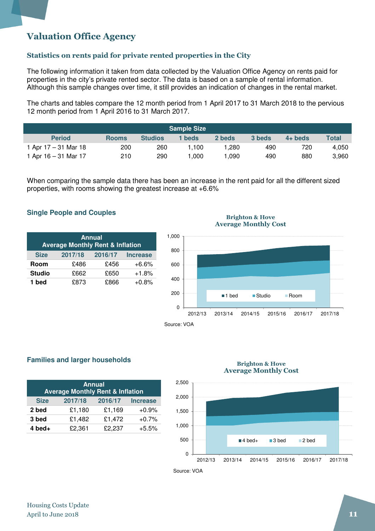## Valuation Office Agency

#### Statistics on rents paid for private rented properties in the City

The following information it taken from data collected by the Valuation Office Agency on rents paid for properties in the city's private rented sector. The data is based on a sample of rental information. Although this sample changes over time, it still provides an indication of changes in the rental market.

The charts and tables compare the 12 month period from 1 April 2017 to 31 March 2018 to the pervious 12 month period from 1 April 2016 to 31 March 2017.

| <b>Sample Size</b>     |              |                |        |        |        |           |              |  |
|------------------------|--------------|----------------|--------|--------|--------|-----------|--------------|--|
| <b>Period</b>          | <b>Rooms</b> | <b>Studios</b> | 1 beds | 2 beds | 3 beds | $4+$ beds | <b>Total</b> |  |
| 1 Apr $17 - 31$ Mar 18 | 200          | 260            | 1.100  | .280   | 490    | 720       | 4.050        |  |
| 1 Apr $16 - 31$ Mar 17 | 210          | 290            | .000   | .090   | 490    | 880       | 3,960        |  |

When comparing the sample data there has been an increase in the rent paid for all the different sized properties, with rooms showing the greatest increase at +6.6%

#### **Single People and Couples**

| <b>Annual</b><br><b>Average Monthly Rent &amp; Inflation</b> |         |         |                 |  |  |  |  |
|--------------------------------------------------------------|---------|---------|-----------------|--|--|--|--|
| <b>Size</b>                                                  | 2017/18 | 2016/17 | <b>Increase</b> |  |  |  |  |
| Room                                                         | £486    | £456    | $+6.6%$         |  |  |  |  |
| <b>Studio</b>                                                | £662    | £650    | $+1.8%$         |  |  |  |  |
| 1 bed                                                        | £873    | £866    | $+0.8%$         |  |  |  |  |

#### Brighton & Hove Average Monthly Cost



#### **Families and larger households**

| <b>Annual</b><br><b>Average Monthly Rent &amp; Inflation</b> |         |         |                 |  |  |  |  |
|--------------------------------------------------------------|---------|---------|-----------------|--|--|--|--|
| <b>Size</b>                                                  | 2017/18 | 2016/17 | <b>Increase</b> |  |  |  |  |
| 2 bed                                                        | £1,180  | £1,169  | $+0.9%$         |  |  |  |  |
| 3 bed                                                        | £1,482  | £1,472  | $+0.7%$         |  |  |  |  |
| $4$ bed +                                                    | £2,361  | £2,237  | $+5.5%$         |  |  |  |  |

#### Brighton & Hove Average Monthly Cost



Source: VOA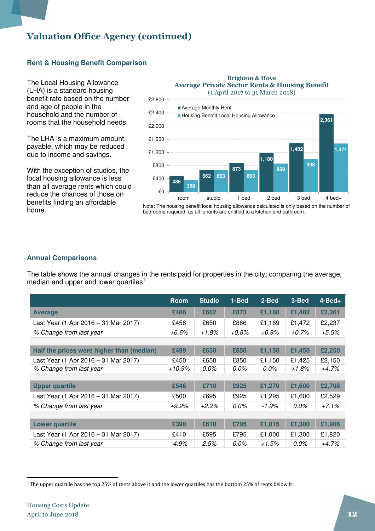#### **Rent & Housing Benefit Comparison**

The Local Housing Allowance (LHA) is a standard housing benefit rate based on the number and age of people in the household and the number of rooms that the household needs.

The LHA is a maximum amount payable, which may be reduced due to income and savings.

With the exception of studios, the local housing allowance is less than all average rents which could reduce the chances of those on benefits finding an affordable home.



Brighton & Hove

Note: The housing benefit local housing allowance calculated is only based on the number of bedrooms required, as all tenants are entitled to a kitchen and bathroom.

#### **Annual Comparisons**

The table shows the annual changes in the rents paid for properties in the city; comparing the average, median and upper and lower quartiles<sup>1</sup>

|                                           | <b>Room</b> | <b>Studio</b> | 1-Bed   | 2-Bed  | 3-Bed    | $4 - Bed +$ |
|-------------------------------------------|-------------|---------------|---------|--------|----------|-------------|
| <b>Average</b>                            | £486        | £662          | £873    | £1,180 | £1,482   | £2,361      |
| Last Year (1 Apr 2016 - 31 Mar 2017)      | £456        | £650          | £866    | £1,169 | £1,472   | £2,237      |
| % Change from last year                   | +6.6%       | $+1.8%$       | +0.8%   | +0.9%  | $+0.7\%$ | $+5.5%$     |
|                                           |             |               |         |        |          |             |
| Half the prices were higher than (median) | £499        | £650          | £850    | £1,150 | £1,450   | £2,250      |
| Last Year (1 Apr 2016 - 31 Mar 2017)      | £450        | £650          | £850    | £1,150 | £1,425   | £2,150      |
| % Change from last year                   | +10.9%      | 0.0%          | 0.0%    | 0.0%   | +1.8%    | $+4.7%$     |
|                                           |             |               |         |        |          |             |
| <b>Upper quartile</b>                     | £546        | £710          | £925    | £1,270 | £1,600   | £2,708      |
| Last Year (1 Apr 2016 - 31 Mar 2017)      | £500        | £695          | £925    | £1,295 | £1,600   | £2,529      |
| % Change from last year                   | $+9.2\%$    | $+2.2%$       | $0.0\%$ | -1.9%  | $0.0\%$  | $+7.1%$     |
|                                           |             |               |         |        |          |             |
| <b>Lower quartile</b>                     | £390        | £610          | £795    | £1,015 | £1,300   | £1,906      |
| Last Year (1 Apr 2016 - 31 Mar 2017)      | £410        | £595          | £795    | £1,000 | £1,300   | £1,820      |
| % Change from last year                   | -4.9%       | 2.5%          | 0.0%    | +1.5%  | 0.0%     | +4.7%       |

 $\overline{a}$ 

 $^1$  The upper quartile has the top 25% of rents above it and the lower quartiles has the bottom 25% of rents below it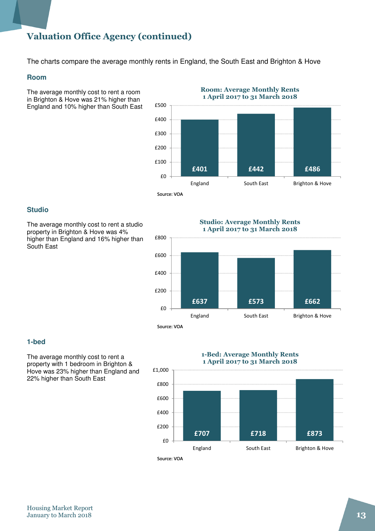The charts compare the average monthly rents in England, the South East and Brighton & Hove

£1,000

#### **Room**

The average monthly cost to rent a room in Brighton & Hove was 21% higher than England and 10% higher than South East

£401 £442 £486 £0 £100 £200 £300 £400 £500 England South East Brighton & Hove 1 April 2017 to 31 March 2018 Source: VOA

Room: Average Monthly Rents

#### **Studio**

The average monthly cost to rent a studio property in Brighton & Hove was 4% higher than England and 16% higher than South East



#### **1-bed**

The average monthly cost to rent a property with 1 bedroom in Brighton & Hove was 23% higher than England and 22% higher than South East

1-Bed: Average Monthly Rents 1 April 2017 to 31 March 2018



Studio: Average Monthly Rents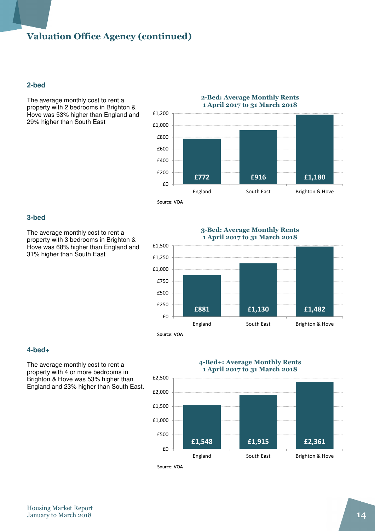#### **2-bed**

The average monthly cost to rent a property with 2 bedrooms in Brighton & Hove was 53% higher than England and 29% higher than South East



#### **3-bed**

The average monthly cost to rent a property with 3 bedrooms in Brighton & Hove was 68% higher than England and 31% higher than South East

3-Bed: Average Monthly Rents 1 April 2017 to 31 March 2018



#### **4-bed+**

The average monthly cost to rent a property with 4 or more bedrooms in Brighton & Hove was 53% higher than England and 23% higher than South East.

# 4-Bed+: Average Monthly Rents



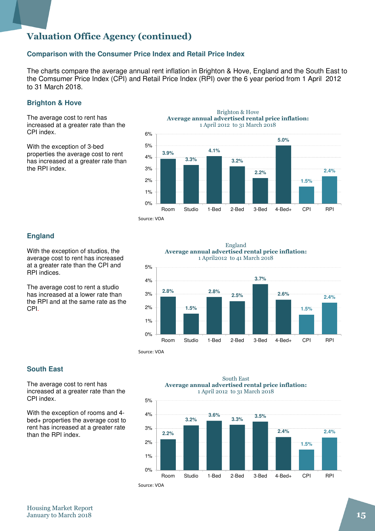#### **Comparison with the Consumer Price Index and Retail Price Index**

The charts compare the average annual rent inflation in Brighton & Hove, England and the South East to the Comsumer Price Index (CPI) and Retail Price Index (RPI) over the 6 year period from 1 April 2012 to 31 March 2018.

#### **Brighton & Hove**

The average cost to rent has increased at a greater rate than the CPI index.

With the exception of 3-bed properties the average cost to rent has increased at a greater rate than the RPI index.



#### **England**

With the exception of studios, the average cost to rent has increased at a greater rate than the CPI and RPI indices.

The average cost to rent a studio has increased at a lower rate than the RPI and at the same rate as the CPI.



Source: VOA

#### **South East**

The average cost to rent has increased at a greater rate than the CPI index.

With the exception of rooms and 4 bed+ properties the average cost to rent has increased at a greater rate than the RPI index.